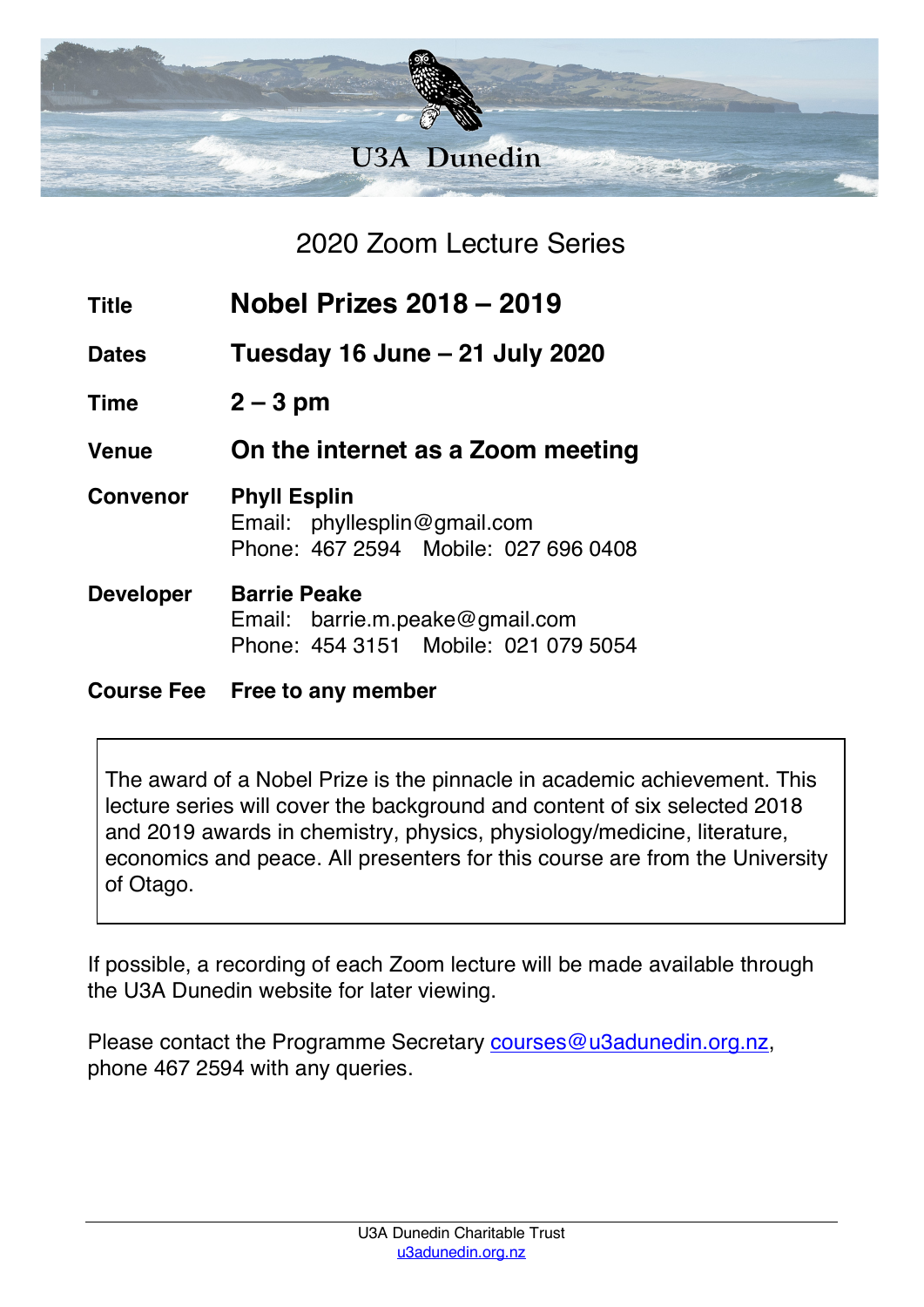

2020 Zoom Lecture Series

| <b>Title</b>      | <b>Nobel Prizes 2018 - 2019</b>                                                                |
|-------------------|------------------------------------------------------------------------------------------------|
| <b>Dates</b>      | Tuesday 16 June - 21 July 2020                                                                 |
| <b>Time</b>       | $2 - 3$ pm                                                                                     |
| <b>Venue</b>      | On the internet as a Zoom meeting                                                              |
| <b>Convenor</b>   | <b>Phyll Esplin</b><br>Email: phyllesplin@gmail.com<br>Phone: 467 2594 Mobile: 027 696 0408    |
| <b>Developer</b>  | <b>Barrie Peake</b><br>Email: barrie.m.peake@gmail.com<br>Phone: 454 3151 Mobile: 021 079 5054 |
| <b>Course Fee</b> | Free to any member                                                                             |

The award of a Nobel Prize is the pinnacle in academic achievement. This lecture series will cover the background and content of six selected 2018 and 2019 awards in chemistry, physics, physiology/medicine, literature, economics and peace. All presenters for this course are from the University

of Otago.

If possible, a recording of each Zoom lecture will be made available through the U3A Dunedin website for later viewing.

Please contact the Programme Secretary courses@u3adunedin.org.nz, phone 467 2594 with any queries.